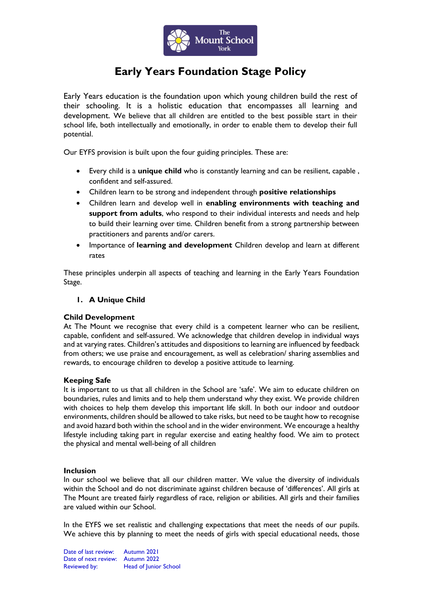

# **Early Years Foundation Stage Policy**

Early Years education is the foundation upon which young children build the rest of their schooling. It is a holistic education that encompasses all learning and development. We believe that all children are entitled to the best possible start in their school life, both intellectually and emotionally, in order to enable them to develop their full potential.

Our EYFS provision is built upon the four guiding principles. These are:

- Every child is a **unique child** who is constantly learning and can be resilient, capable , confident and self-assured.
- Children learn to be strong and independent through **positive relationships**
- Children learn and develop well in **enabling environments with teaching and support from adults**, who respond to their individual interests and needs and help to build their learning over time. Children benefit from a strong partnership between practitioners and parents and/or carers.
- Importance of **learning and development** Children develop and learn at different rates

These principles underpin all aspects of teaching and learning in the Early Years Foundation Stage.

# **1. A Unique Child**

# **Child Development**

At The Mount we recognise that every child is a competent learner who can be resilient, capable, confident and self-assured. We acknowledge that children develop in individual ways and at varying rates. Children's attitudes and dispositions to learning are influenced by feedback from others; we use praise and encouragement, as well as celebration/ sharing assemblies and rewards, to encourage children to develop a positive attitude to learning.

#### **Keeping Safe**

It is important to us that all children in the School are 'safe'. We aim to educate children on boundaries, rules and limits and to help them understand why they exist. We provide children with choices to help them develop this important life skill. In both our indoor and outdoor environments, children should be allowed to take risks, but need to be taught how to recognise and avoid hazard both within the school and in the wider environment. We encourage a healthy lifestyle including taking part in regular exercise and eating healthy food. We aim to protect the physical and mental well-being of all children

#### **Inclusion**

In our school we believe that all our children matter. We value the diversity of individuals within the School and do not discriminate against children because of 'differences'. All girls at The Mount are treated fairly regardless of race, religion or abilities. All girls and their families are valued within our School.

In the EYFS we set realistic and challenging expectations that meet the needs of our pupils. We achieve this by planning to meet the needs of girls with special educational needs, those

Date of last review: Autumn 2021 Date of next review: Autumn 2022 Reviewed by: Head of Junior School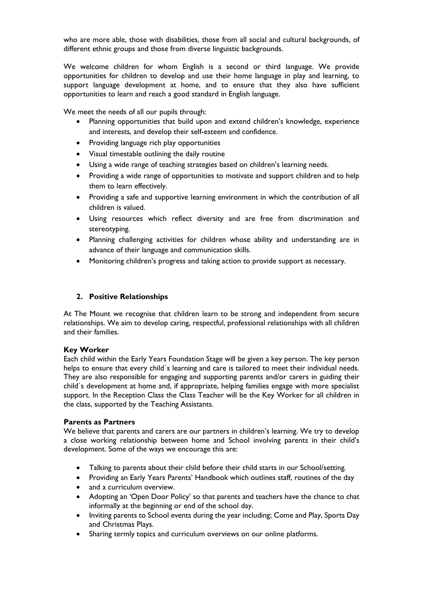who are more able, those with disabilities, those from all social and cultural backgrounds, of different ethnic groups and those from diverse linguistic backgrounds.

We welcome children for whom English is a second or third language. We provide opportunities for children to develop and use their home language in play and learning, to support language development at home, and to ensure that they also have sufficient opportunities to learn and reach a good standard in English language.

We meet the needs of all our pupils through:

- Planning opportunities that build upon and extend children's knowledge, experience and interests, and develop their self-esteem and confidence.
- Providing language rich play opportunities
- Visual timestable outlining the daily routine
- Using a wide range of teaching strategies based on children's learning needs.
- Providing a wide range of opportunities to motivate and support children and to help them to learn effectively.
- Providing a safe and supportive learning environment in which the contribution of all children is valued.
- Using resources which reflect diversity and are free from discrimination and stereotyping.
- Planning challenging activities for children whose ability and understanding are in advance of their language and communication skills.
- Monitoring children's progress and taking action to provide support as necessary.

## **2. Positive Relationships**

At The Mount we recognise that children learn to be strong and independent from secure relationships. We aim to develop caring, respectful, professional relationships with all children and their families.

#### **Key Worker**

Each child within the Early Years Foundation Stage will be given a key person. The key person helps to ensure that every child`s learning and care is tailored to meet their individual needs. They are also responsible for engaging and supporting parents and/or carers in guiding their child`s development at home and, if appropriate, helping families engage with more specialist support. In the Reception Class the Class Teacher will be the Key Worker for all children in the class, supported by the Teaching Assistants.

#### **Parents as Partners**

We believe that parents and carers are our partners in children's learning. We try to develop a close working relationship between home and School involving parents in their child's development. Some of the ways we encourage this are:

- Talking to parents about their child before their child starts in our School/setting.
- Providing an Early Years Parents' Handbook which outlines staff, routines of the day
- and a curriculum overview.
- Adopting an 'Open Door Policy' so that parents and teachers have the chance to chat informally at the beginning or end of the school day.
- Inviting parents to School events during the year including; Come and Play, Sports Day and Christmas Plays.
- Sharing termly topics and curriculum overviews on our online platforms.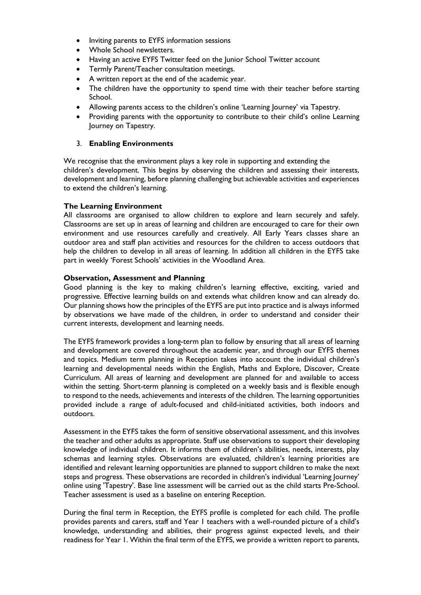- Inviting parents to EYFS information sessions
- Whole School newsletters.
- Having an active EYFS Twitter feed on the Junior School Twitter account
- Termly Parent/Teacher consultation meetings.
- A written report at the end of the academic year.
- The children have the opportunity to spend time with their teacher before starting School.
- Allowing parents access to the children's online 'Learning Journey' via Tapestry.
- Providing parents with the opportunity to contribute to their child's online Learning Journey on Tapestry.

## 3. **Enabling Environments**

We recognise that the environment plays a key role in supporting and extending the children's development. This begins by observing the children and assessing their interests, development and learning, before planning challenging but achievable activities and experiences to extend the children's learning.

## **The Learning Environment**

All classrooms are organised to allow children to explore and learn securely and safely. Classrooms are set up in areas of learning and children are encouraged to care for their own environment and use resources carefully and creatively. All Early Years classes share an outdoor area and staff plan activities and resources for the children to access outdoors that help the children to develop in all areas of learning. In addition all children in the EYFS take part in weekly 'Forest Schools' activities in the Woodland Area.

## **Observation, Assessment and Planning**

Good planning is the key to making children's learning effective, exciting, varied and progressive. Effective learning builds on and extends what children know and can already do. Our planning shows how the principles of the EYFS are put into practice and is always informed by observations we have made of the children, in order to understand and consider their current interests, development and learning needs.

The EYFS framework provides a long-term plan to follow by ensuring that all areas of learning and development are covered throughout the academic year, and through our EYFS themes and topics. Medium term planning in Reception takes into account the individual children's learning and developmental needs within the English, Maths and Explore, Discover, Create Curriculum. All areas of learning and development are planned for and available to access within the setting. Short-term planning is completed on a weekly basis and is flexible enough to respond to the needs, achievements and interests of the children. The learning opportunities provided include a range of adult-focused and child-initiated activities, both indoors and outdoors.

Assessment in the EYFS takes the form of sensitive observational assessment, and this involves the teacher and other adults as appropriate. Staff use observations to support their developing knowledge of individual children. It informs them of children's abilities, needs, interests, play schemas and learning styles. Observations are evaluated, children's learning priorities are identified and relevant learning opportunities are planned to support children to make the next steps and progress. These observations are recorded in children's individual 'Learning Journey' online using 'Tapestry'. Base line assessment will be carried out as the child starts Pre-School. Teacher assessment is used as a baseline on entering Reception.

During the final term in Reception, the EYFS profile is completed for each child. The profile provides parents and carers, staff and Year 1 teachers with a well-rounded picture of a child's knowledge, understanding and abilities, their progress against expected levels, and their readiness for Year 1. Within the final term of the EYFS, we provide a written report to parents,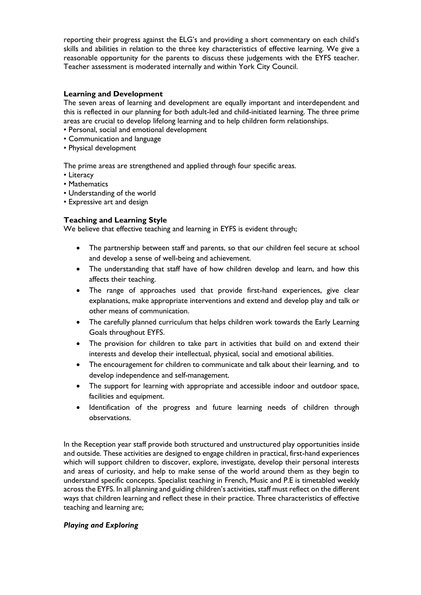reporting their progress against the ELG's and providing a short commentary on each child's skills and abilities in relation to the three key characteristics of effective learning. We give a reasonable opportunity for the parents to discuss these judgements with the EYFS teacher. Teacher assessment is moderated internally and within York City Council.

## **Learning and Development**

The seven areas of learning and development are equally important and interdependent and this is reflected in our planning for both adult-led and child-initiated learning. The three prime areas are crucial to develop lifelong learning and to help children form relationships.

- Personal, social and emotional development
- Communication and language
- Physical development

The prime areas are strengthened and applied through four specific areas.

- Literacy
- Mathematics
- Understanding of the world
- Expressive art and design

# **Teaching and Learning Style**

We believe that effective teaching and learning in EYFS is evident through;

- The partnership between staff and parents, so that our children feel secure at school and develop a sense of well-being and achievement.
- The understanding that staff have of how children develop and learn, and how this affects their teaching.
- The range of approaches used that provide first-hand experiences, give clear explanations, make appropriate interventions and extend and develop play and talk or other means of communication.
- The carefully planned curriculum that helps children work towards the Early Learning Goals throughout EYFS.
- The provision for children to take part in activities that build on and extend their interests and develop their intellectual, physical, social and emotional abilities.
- The encouragement for children to communicate and talk about their learning, and to develop independence and self-management.
- The support for learning with appropriate and accessible indoor and outdoor space, facilities and equipment.
- Identification of the progress and future learning needs of children through observations.

In the Reception year staff provide both structured and unstructured play opportunities inside and outside. These activities are designed to engage children in practical, first-hand experiences which will support children to discover, explore, investigate, develop their personal interests and areas of curiosity, and help to make sense of the world around them as they begin to understand specific concepts. Specialist teaching in French, Music and P.E is timetabled weekly across the EYFS. In all planning and guiding children's activities, staff must reflect on the different ways that children learning and reflect these in their practice. Three characteristics of effective teaching and learning are;

# *Playing and Exploring*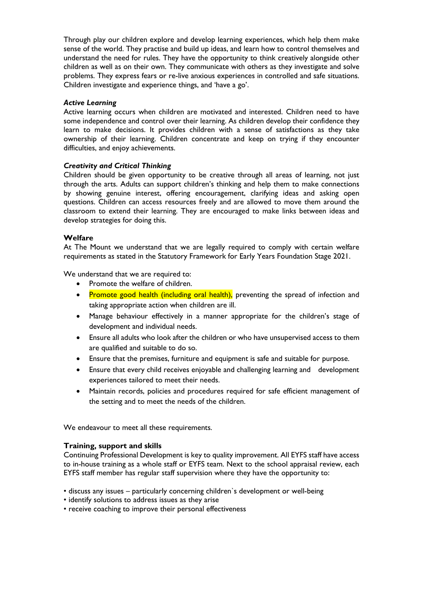Through play our children explore and develop learning experiences, which help them make sense of the world. They practise and build up ideas, and learn how to control themselves and understand the need for rules. They have the opportunity to think creatively alongside other children as well as on their own. They communicate with others as they investigate and solve problems. They express fears or re-live anxious experiences in controlled and safe situations. Children investigate and experience things, and 'have a go'.

#### *Active Learning*

Active learning occurs when children are motivated and interested. Children need to have some independence and control over their learning. As children develop their confidence they learn to make decisions. It provides children with a sense of satisfactions as they take ownership of their learning. Children concentrate and keep on trying if they encounter difficulties, and enjoy achievements.

## *Creativity and Critical Thinking*

Children should be given opportunity to be creative through all areas of learning, not just through the arts. Adults can support children's thinking and help them to make connections by showing genuine interest, offering encouragement, clarifying ideas and asking open questions. Children can access resources freely and are allowed to move them around the classroom to extend their learning. They are encouraged to make links between ideas and develop strategies for doing this.

## **Welfare**

At The Mount we understand that we are legally required to comply with certain welfare requirements as stated in the Statutory Framework for Early Years Foundation Stage 2021.

We understand that we are required to:

- Promote the welfare of children.
- Promote good health (including oral health), preventing the spread of infection and taking appropriate action when children are ill.
- Manage behaviour effectively in a manner appropriate for the children's stage of development and individual needs.
- Ensure all adults who look after the children or who have unsupervised access to them are qualified and suitable to do so.
- Ensure that the premises, furniture and equipment is safe and suitable for purpose.
- Ensure that every child receives enjoyable and challenging learning and development experiences tailored to meet their needs.
- Maintain records, policies and procedures required for safe efficient management of the setting and to meet the needs of the children.

We endeavour to meet all these requirements.

#### **Training, support and skills**

Continuing Professional Development is key to quality improvement. All EYFS staff have access to in-house training as a whole staff or EYFS team. Next to the school appraisal review, each EYFS staff member has regular staff supervision where they have the opportunity to:

- discuss any issues particularly concerning children`s development or well-being
- identify solutions to address issues as they arise
- receive coaching to improve their personal effectiveness